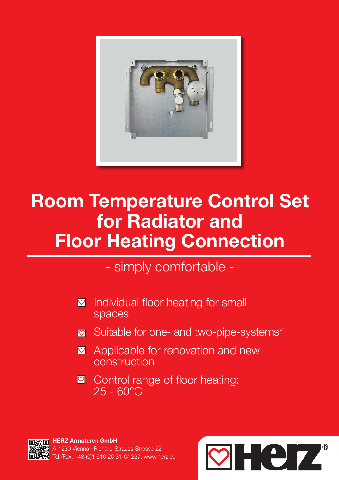

# Room Temperature Control Set for Radiator and Floor Heating Connection

- simply comfortable -

- Individual floor heating for small spaces  $|{\bm \heartsuit}|$
- Suitable for one- and two-pipe-systems\*
- Applicable for renovation and new construction
- Control range of floor heating:  $\boldsymbol{\heartsuit}$ 25 - 60°C

HERZ Armaturen GmbH 230 Vienna · Richard-Strauss-Strasse 22 Tel./Fax: +43 (0)1 616 26 31-0/-227, www.herz.eu